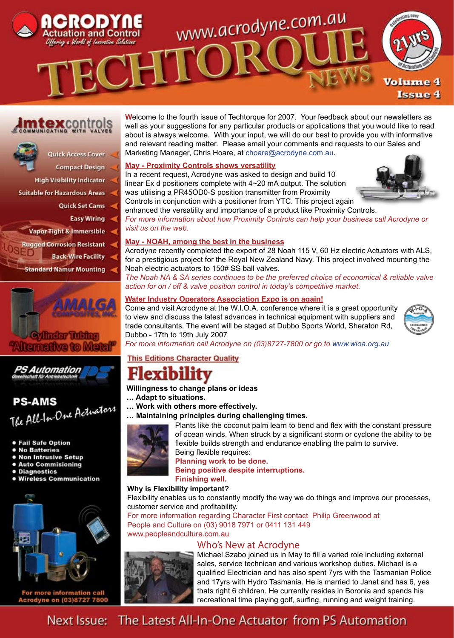

# **ntexcontrols**



- **High Visibility Indicator**
- **Suitable for Hazardous Areas** 
	- **Ouick Set Cams**

**Compact Design** 

- **Easy Wiring**
- **Vapor Tight & Immersible**
- **Rugged Corrosion Resistant** 
	- **Back-Wire Facility**

**Standard Namur Mounting** 





# **PS-AMS PS-AMS**<br>The All-In-One Actuators

- **Fail Safe Option**
- **No Batteries**
- . Non Intrusive Setup
- **.** Auto Commisioning
- **Diagnostics**
- **.** Wireless Communication



For more information call Acrodyne on (03)8727 7800

**W**elcome to the fourth issue of Techtorque for 2007. Your feedback about our newsletters as well as your suggestions for any particular products or applications that you would like to read about is always welcome. With your input, we will do our best to provide you with informative and relevant reading matter. Please email your comments and requests to our Sales and Marketing Manager, Chris Hoare, at choare@acrodyne.com.au.

## **May - Proximity Controls shows versatility**

In a recent request, Acrodyne was asked to design and build 10 linear Ex d positioners complete with 4~20 mA output. The solution was utilising a PR45OD0-S position transmitter from Proximity



Controls in conjunction with a positioner from YTC. This project again enhanced the versatility and importance of a product like Proximity Controls.

*For more information about how Proximity Controls can help your business call Acrodyne or visit us on the web.* 

## **May - NOAH, among the best in the business**

Acrodyne recently completed the export of 28 Noah 115 V, 60 Hz electric Actuators with ALS, for a prestigious project for the Royal New Zealand Navy. This project involved mounting the Noah electric actuators to 150# SS ball valves.

*The Noah NA & SA series continues to be the preferred choice of economical & reliable valve action for on / off & valve position control in today's competitive market.*

## **Water Industry Operators Association Expo is on again!**

Come and visit Acrodyne at the W.I.O.A. conference where it is a great opportunity to view and discuss the latest advances in technical equipment with suppliers and trade consultants. The event will be staged at Dubbo Sports World, Sheraton Rd, Dubbo - 17th to 19th July 2007



*For more information call Acrodyne on (03)8727-7800 or go to www.wioa.org.au*

# **This Editions Character Quality**

# exibility

**Willingness to change plans or ideas**

- **… Adapt to situations.**
- **… Work with others more effectively.**
- **… Maintaining principles during challenging times.**



Plants like the coconut palm learn to bend and flex with the constant pressure of ocean winds. When struck by a significant storm or cyclone the ability to be flexible builds strength and endurance enabling the palm to survive. Being flexible requires:

**Planning work to be done.**

**Being positive despite interruptions.**

#### **Finishing well. Why is Flexibility important?**

Flexibility enables us to constantly modify the way we do things and improve our processes, customer service and profitability.

For more information regarding Character First contact Philip Greenwood at People and Culture on (03) 9018 7971 or 0411 131 449

www.peopleandculture.com.au

# Who's New at Acrodyne



Michael Szabo joined us in May to fill a varied role including external sales, service technican and various workshop duties. Michael is a qualified Electrician and has also spent 7yrs with the Tasmanian Police and 17yrs with Hydro Tasmania. He is married to Janet and has 6, yes thats right 6 children. He currently resides in Boronia and spends his recreational time playing golf, surfing, running and weight training.

# Next Issue: The Latest All-In-One Actuator from PS Automation